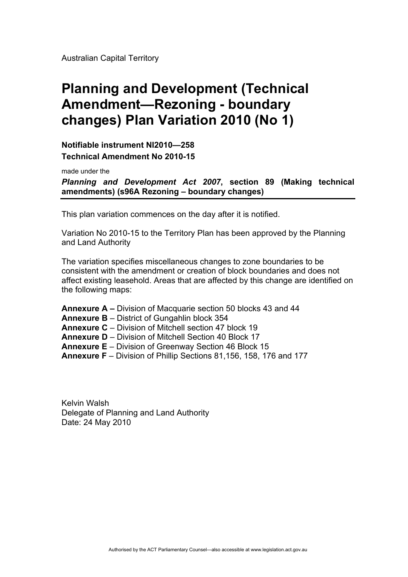Australian Capital Territory

# **Planning and Development (Technical Amendment—Rezoning - boundary changes) Plan Variation 2010 (No 1)**

**Notifiable instrument NI2010—258 Technical Amendment No 2010-15** 

made under the

*Planning and Development Act 2007***, section 89 (Making technical amendments) (s96A Rezoning – boundary changes)** 

This plan variation commences on the day after it is notified.

Variation No 2010-15 to the Territory Plan has been approved by the Planning and Land Authority

The variation specifies miscellaneous changes to zone boundaries to be consistent with the amendment or creation of block boundaries and does not affect existing leasehold. Areas that are affected by this change are identified on the following maps:

**Annexure A –** Division of Macquarie section 50 blocks 43 and 44

**Annexure B** – District of Gungahlin block 354

**Annexure C** – Division of Mitchell section 47 block 19

**Annexure D** – Division of Mitchell Section 40 Block 17

**Annexure E** – Division of Greenway Section 46 Block 15

**Annexure F** – Division of Phillip Sections 81,156, 158, 176 and 177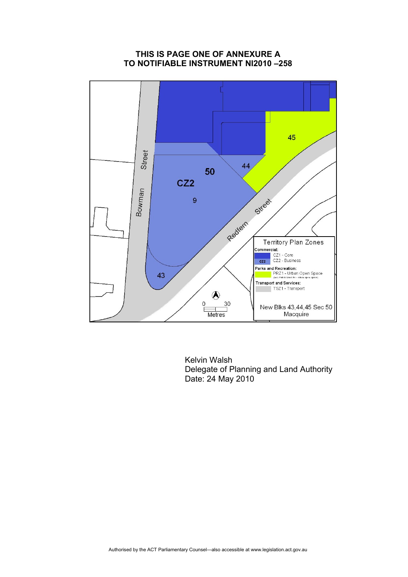#### **THIS IS PAGE ONE OF ANNEXURE A TO NOTIFIABLE INSTRUMENT NI2010 –258**

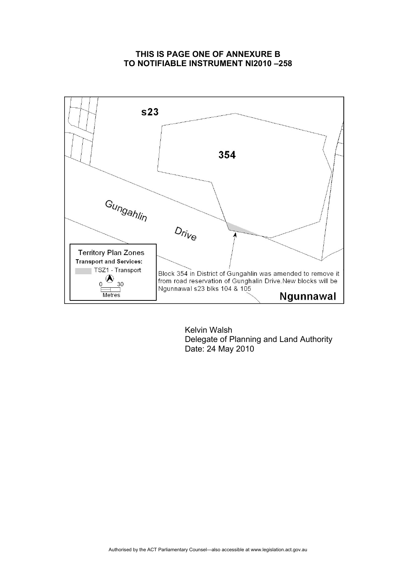#### **THIS IS PAGE ONE OF ANNEXURE B TO NOTIFIABLE INSTRUMENT NI2010 –258**

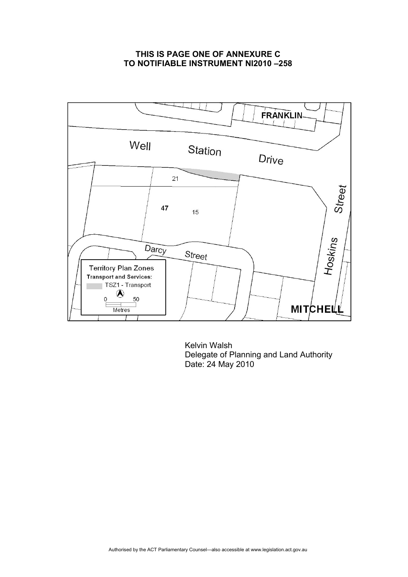## **THIS IS PAGE ONE OF ANNEXURE C TO NOTIFIABLE INSTRUMENT NI2010 –258**

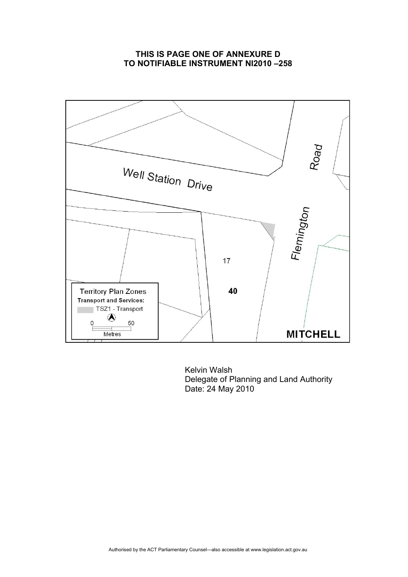### **THIS IS PAGE ONE OF ANNEXURE D TO NOTIFIABLE INSTRUMENT NI2010 –258**

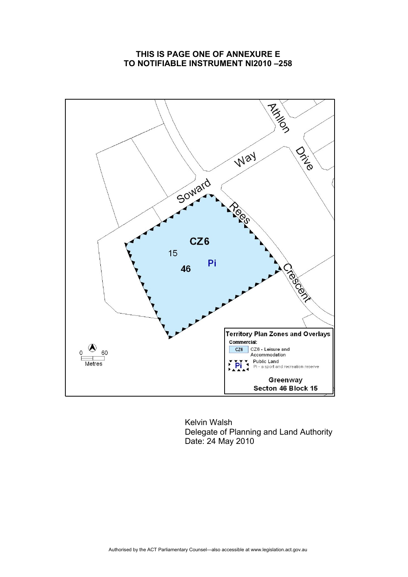## **THIS IS PAGE ONE OF ANNEXURE E TO NOTIFIABLE INSTRUMENT NI2010 –258**